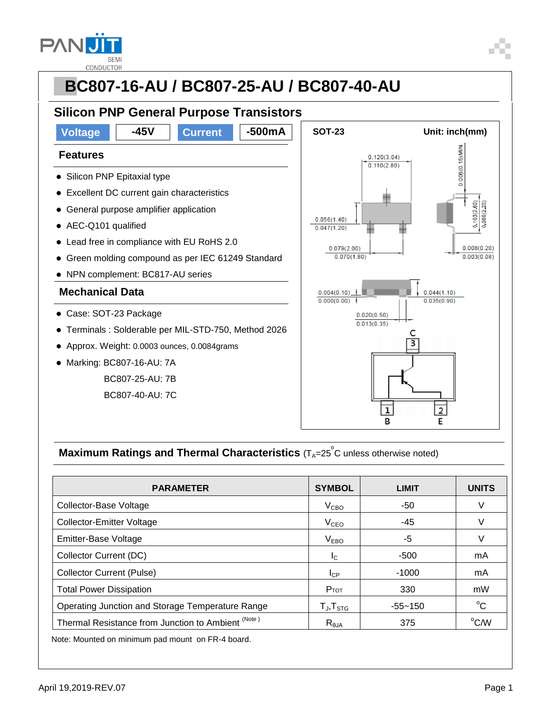

#### **PBC807-16-AU / BC807-25-AU / BC807-40-AU Silicon PNP General Purpose Transistors Voltage 45V Current -500mA** SOT-23 Unit: inch(mm)  $0.006(0.15)$  MIN. **Features**  $0.120(3.04)$  $0.110(2.80)$ • Silicon PNP Epitaxial type Excellent DC current gain characteristics  $103(2.60)$  $0.086(2.20)$  General purpose amplifier application  $0.056(1.40)$  AEC-Q101 qualified  $0.047(1.20)$  $\tilde{\phantom{a}}$  Lead free in compliance with EU RoHS 2.0  $0.079(2.00)$  $0.008(0.20)$  $0.003(0.08)$  Green molding compound as per IEC 61249 Standard  $0.070(1.80)$  NPN complement: BC817-AU series **Mechanical Data**  $0.004(0.10)$  $0.044(1.10)$  $0.000(0.00)$  $0.035(0.90)$  Case: SOT-23 Package  $0.020(0.50)$  $0.013(0.35)$  Terminals : Solderable per MIL-STD-750, Method 2026 3 Approx. Weight: 0.0003 ounces, 0.0084grams Marking: BC807-16-AU: 7A BC807-25-AU: 7B BC807-40-AU: 7C  $\overline{\mathbf{1}}$  $\overline{2}$ R F

### **Maximum Ratings and Thermal Characteristics** (T<sub>A</sub>=25<sup>°</sup>C unless otherwise noted)

| <b>PARAMETER</b>                                   | <b>SYMBOL</b>            | <b>LIMIT</b> | <b>UNITS</b> |
|----------------------------------------------------|--------------------------|--------------|--------------|
| Collector-Base Voltage                             | V <sub>CBO</sub>         | -50          | V            |
| <b>Collector-Emitter Voltage</b>                   | V <sub>CEO</sub>         | -45          | V            |
| <b>Emitter-Base Voltage</b>                        | V <sub>EBO</sub>         | -5           | V            |
| Collector Current (DC)                             | $I_{\rm C}$              | $-500$       | mA           |
| <b>Collector Current (Pulse)</b>                   | $I_{CP}$                 | $-1000$      | mA           |
| <b>Total Power Dissipation</b>                     | $P_{TOT}$                | 330          | mW           |
| Operating Junction and Storage Temperature Range   | $T_{\sf J}, T_{\sf STG}$ | $-55 - 150$  | $^{\circ}C$  |
| Thermal Resistance from Junction to Ambient (Note) | $R_{\theta$ JA           | 375          | °C/W         |

Note: Mounted on minimum pad mount on FR-4 board.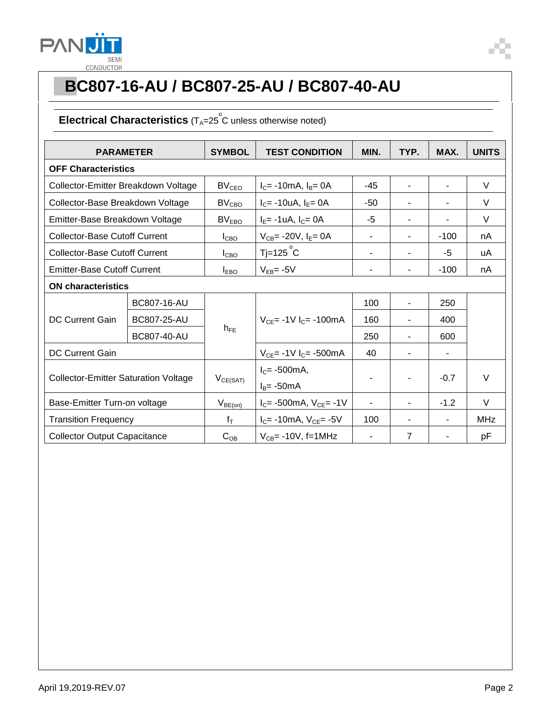

### Electrical Characteristics (T<sub>A</sub>=25<sup>°</sup>C unless otherwise noted)

| <b>PARAMETER</b>                            |                    | <b>SYMBOL</b>     | <b>TEST CONDITION</b>             | MIN.           | TYP.           | MAX.           | <b>UNITS</b> |  |
|---------------------------------------------|--------------------|-------------------|-----------------------------------|----------------|----------------|----------------|--------------|--|
| <b>OFF Characteristics</b>                  |                    |                   |                                   |                |                |                |              |  |
| Collector-Emitter Breakdown Voltage         |                    | BV <sub>CEO</sub> | $I_C$ = -10mA, $I_B$ = 0A         | $-45$          | $\blacksquare$ | $\blacksquare$ | V            |  |
| Collector-Base Breakdown Voltage            |                    | BV <sub>CBO</sub> | $I_C$ = -10uA, $I_E$ = 0A         | -50            | $\blacksquare$ | $\blacksquare$ | $\vee$       |  |
| Emitter-Base Breakdown Voltage              |                    | BV <sub>EBO</sub> | $I_E$ = -1uA, $I_C$ = 0A          | $-5$           | $\blacksquare$ |                | $\vee$       |  |
| <b>Collector-Base Cutoff Current</b>        |                    | I <sub>CBO</sub>  | $V_{CB} = -20V$ , $I_E = 0A$      | $\blacksquare$ | $\blacksquare$ | $-100$         | nA           |  |
| <b>Collector-Base Cutoff Current</b>        |                    | I <sub>CBO</sub>  | $T = 125^\circ C$                 | $\blacksquare$ | $\blacksquare$ | -5             | uA           |  |
| <b>Emitter-Base Cutoff Current</b>          |                    | $I_{EBO}$         | $V_{EB} = -5V$                    | $\blacksquare$ | -              | $-100$         | nA           |  |
| <b>ON characteristics</b>                   |                    |                   |                                   |                |                |                |              |  |
| <b>DC Current Gain</b>                      | BC807-16-AU        | $h_{FE}$          | $V_{CE}$ = -1V $I_C$ = -100mA     | 100            | $\blacksquare$ | 250            |              |  |
|                                             | <b>BC807-25-AU</b> |                   |                                   | 160            | $\blacksquare$ | 400            |              |  |
|                                             | <b>BC807-40-AU</b> |                   |                                   | 250            |                | 600            |              |  |
| <b>DC Current Gain</b>                      |                    |                   | $V_{CE}$ = -1V $I_C$ = -500mA     | 40             |                |                |              |  |
| <b>Collector-Emitter Saturation Voltage</b> |                    | $V_{CE(SAT)}$     | $I_c = -500mA$ ,<br>$I_B$ = -50mA |                |                | $-0.7$         | $\vee$       |  |
| Base-Emitter Turn-on voltage                |                    | $V_{BE(on)}$      | $I_C$ = -500mA, $V_{CE}$ = -1V    |                |                | $-1.2$         | $\vee$       |  |
| <b>Transition Frequency</b>                 |                    | $f_T$             | $I_C$ = -10mA, $V_{CE}$ = -5V     | 100            |                |                | <b>MHz</b>   |  |
| <b>Collector Output Capacitance</b>         |                    | $C_{OB}$          | $V_{CB}$ = -10V, f=1MHz           |                | $\overline{7}$ |                | рF           |  |

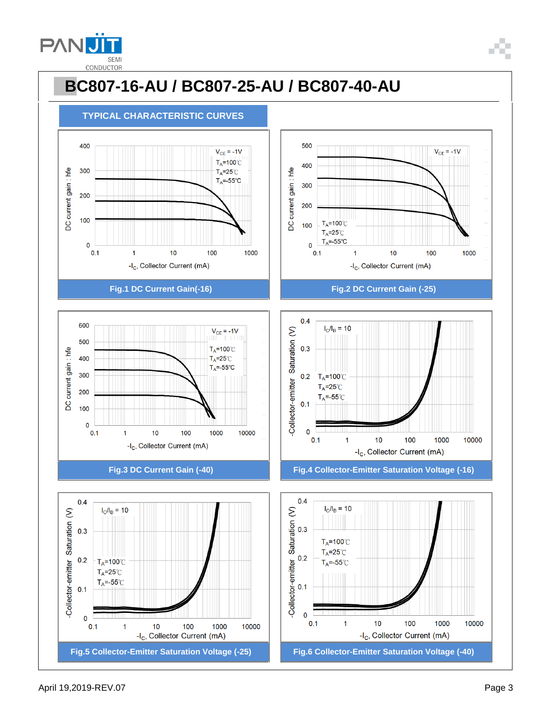





-I<sub>C</sub>, Collector Current (mA)

 $10$ 

100

1000

10000







**Fig.3 DC Current Gain (-40) Fig.4 Collector-Emitter Saturation Voltage (-16)**



 $0.1$ 

 $\overline{1}$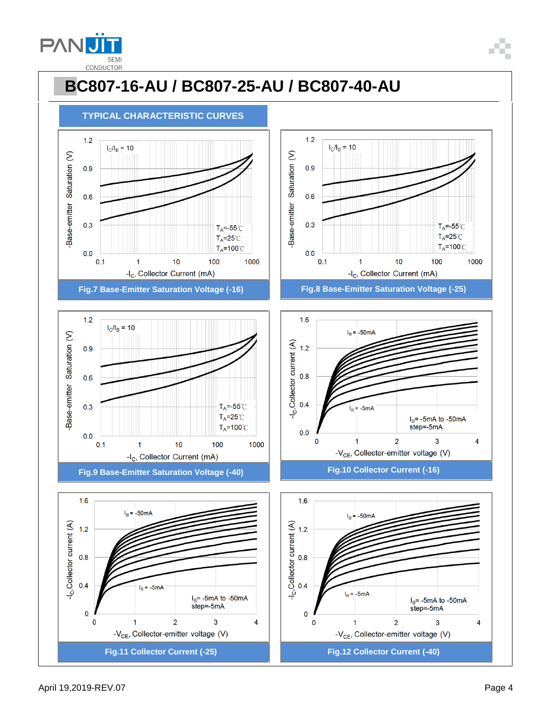











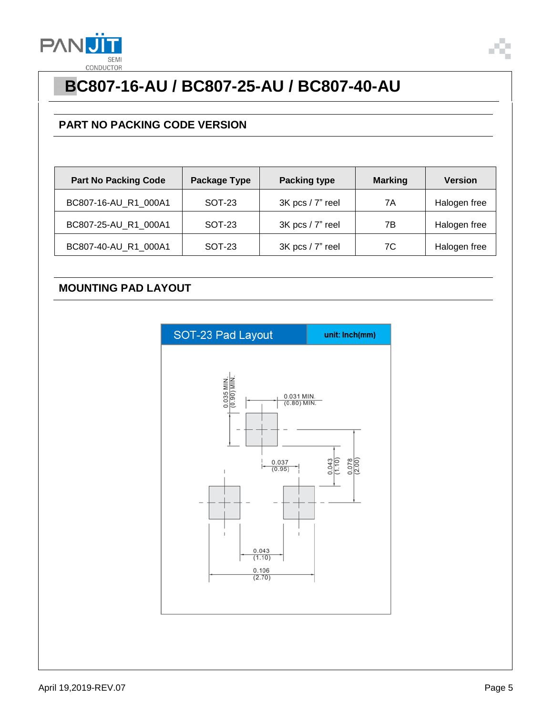

### **PART NO PACKING CODE VERSION**

| <b>Part No Packing Code</b> | <b>Package Type</b> | <b>Packing type</b> | <b>Marking</b> | <b>Version</b> |
|-----------------------------|---------------------|---------------------|----------------|----------------|
| BC807-16-AU_R1_000A1        | <b>SOT-23</b>       | 3K pcs / 7" reel    | 7A             | Halogen free   |
| BC807-25-AU_R1_000A1        | SOT-23              | 3K pcs / 7" reel    | 7В             | Halogen free   |
| BC807-40-AU_R1_000A1        | <b>SOT-23</b>       | 3K pcs / 7" reel    | 7C             | Halogen free   |

#### **MOUNTING PAD LAYOUT**